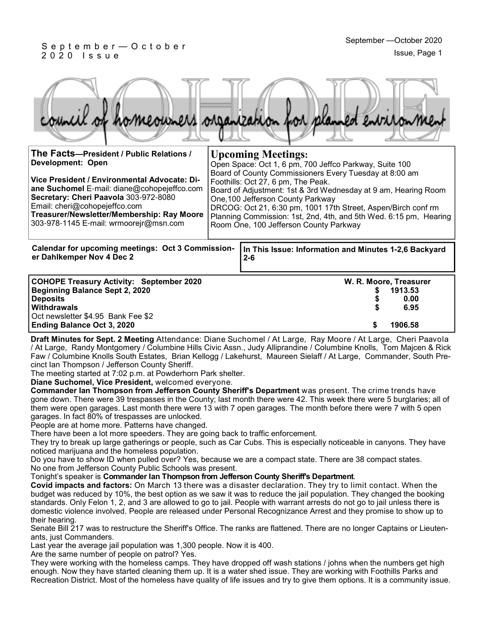#### S e p t e m b e r — O c t o b e r 2 0 2 0 I s s u e

|  |  |  | council of homeowners organization for planned entrionment |
|--|--|--|------------------------------------------------------------|
|  |  |  |                                                            |

| The Facts-President / Public Relations /<br>Development: Open<br>Vice President / Environmental Advocate: Di-<br>ane Suchomel E-mail: diane@cohopejeffco.com<br>Secretary: Cheri Paavola 303-972-8080<br>Email: cheri@cohopejeffco.com<br>Treasurer/Newsletter/Membership: Ray Moore<br>303-978-1145 E-mail: wrmoorejr@msn.com |  | <b>Upcoming Meetings:</b><br>Open Space: Oct 1, 6 pm, 700 Jeffco Parkway, Suite 100<br>Board of County Commissioners Every Tuesday at 8:00 am<br>Foothills: Oct 27, 6 pm, The Peak.<br>Board of Adjustment: 1st & 3rd Wednesday at 9 am, Hearing Room<br>One, 100 Jefferson County Parkway<br>DRCOG: Oct 21, 6:30 pm, 1001 17th Street, Aspen/Birch conf rm<br>Planning Commission: 1st, 2nd, 4th, and 5th Wed. 6:15 pm, Hearing<br>Room One, 100 Jefferson County Parkway |  |  |
|--------------------------------------------------------------------------------------------------------------------------------------------------------------------------------------------------------------------------------------------------------------------------------------------------------------------------------|--|----------------------------------------------------------------------------------------------------------------------------------------------------------------------------------------------------------------------------------------------------------------------------------------------------------------------------------------------------------------------------------------------------------------------------------------------------------------------------|--|--|
| Calendar for upcoming meetings: Oct 3 Commission-<br>er Dahlkemper Nov 4 Dec 2                                                                                                                                                                                                                                                 |  | In This Issue: Information and Minutes 1-2,6 Backyard<br>$2 - 6$                                                                                                                                                                                                                                                                                                                                                                                                           |  |  |
| COUGHT Tuessame Asthalten, Osptanaken 0000                                                                                                                                                                                                                                                                                     |  | $\mathbf{M}$ $\mathbf{D}$ $\mathbf{M}$ $\mathbf{L}$ $\mathbf{L}$ $\mathbf{L}$ $\mathbf{L}$ $\mathbf{L}$ $\mathbf{L}$ $\mathbf{L}$ $\mathbf{L}$ $\mathbf{L}$ $\mathbf{L}$ $\mathbf{L}$ $\mathbf{L}$ $\mathbf{L}$ $\mathbf{L}$ $\mathbf{L}$ $\mathbf{L}$ $\mathbf{L}$ $\mathbf{L}$ $\mathbf{L}$ $\mathbf{L}$ $\mathbf{L}$ $\mathbf{$                                                                                                                                         |  |  |

| <b>COHOPE Treasury Activity: September 2020</b> | W. R. Moore, Treasurer |         |  |
|-------------------------------------------------|------------------------|---------|--|
| Beginning Balance Sept 2, 2020                  |                        | 1913.53 |  |
| <b>Deposits</b>                                 |                        | 0.00    |  |
| <b>Withdrawals</b>                              |                        | 6.95    |  |
| Oct newsletter \$4.95 Bank Fee \$2              |                        |         |  |
| <b>Ending Balance Oct 3, 2020</b>               |                        | 1906.58 |  |

**Draft Minutes for Sept. 2 Meeting** Attendance: Diane Suchomel / At Large, Ray Moore / At Large, Cheri Paavola / At Large, Randy Montgomery / Columbine Hills Civic Assn., Judy Alliprandine / Columbine Knolls, Tom Majcen & Rick Faw / Columbine Knolls South Estates, Brian Kellogg / Lakehurst, Maureen Sielaff / At Large, Commander, South Precinct Ian Thompson / Jefferson County Sheriff.

The meeting started at 7:02 p.m. at Powderhorn Park shelter.

**Diane Suchomel, Vice President,** welcomed everyone.

**Commander Ian Thompson from Jefferson County Sheriff's Department** was present. The crime trends have gone down. There were 39 trespasses in the County; last month there were 42. This week there were 5 burglaries; all of them were open garages. Last month there were 13 with 7 open garages. The month before there were 7 with 5 open garages. In fact 80% of trespasses are unlocked.

People are at home more. Patterns have changed.

There have been a lot more speeders. They are going back to traffic enforcement.

They try to break up large gatherings or people, such as Car Cubs. This is especially noticeable in canyons. They have noticed marijuana and the homeless population.

Do you have to show ID when pulled over? Yes, because we are a compact state. There are 38 compact states. No one from Jefferson County Public Schools was present.

Tonight's speaker is **Commander Ian Thompson from Jefferson County Sheriff's Department**.

**Covid impacts and factors:** On March 13 there was a disaster declaration. They try to limit contact. When the budget was reduced by 10%, the best option as we saw it was to reduce the jail population. They changed the booking standards. Only Felon 1, 2, and 3 are allowed to go to jail. People with warrant arrests do not go to jail unless there is domestic violence involved. People are released under Personal Recognizance Arrest and they promise to show up to their hearing.

Senate Bill 217 was to restructure the Sheriff's Office. The ranks are flattened. There are no longer Captains or Lieutenants, just Commanders.

Last year the average jail population was 1,300 people. Now it is 400.

Are the same number of people on patrol? Yes.

They were working with the homeless camps. They have dropped off wash stations / johns when the numbers get high enough. Now they have started cleaning them up. It is a water shed issue. They are working with Foothills Parks and Recreation District. Most of the homeless have quality of life issues and try to give them options. It is a community issue.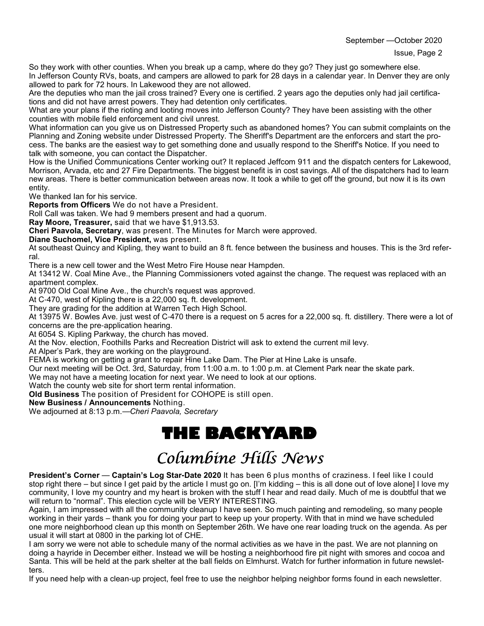September —October 2020

So they work with other counties. When you break up a camp, where do they go? They just go somewhere else. In Jefferson County RVs, boats, and campers are allowed to park for 28 days in a calendar year. In Denver they are only allowed to park for 72 hours. In Lakewood they are not allowed.

Are the deputies who man the jail cross trained? Every one is certified. 2 years ago the deputies only had jail certifications and did not have arrest powers. They had detention only certificates.

What are your plans if the rioting and looting moves into Jefferson County? They have been assisting with the other counties with mobile field enforcement and civil unrest.

What information can you give us on Distressed Property such as abandoned homes? You can submit complaints on the Planning and Zoning website under Distressed Property. The Sheriff's Department are the enforcers and start the process. The banks are the easiest way to get something done and usually respond to the Sheriff's Notice. If you need to talk with someone, you can contact the Dispatcher.

How is the Unified Communications Center working out? It replaced Jeffcom 911 and the dispatch centers for Lakewood, Morrison, Arvada, etc and 27 Fire Departments. The biggest benefit is in cost savings. All of the dispatchers had to learn new areas. There is better communication between areas now. It took a while to get off the ground, but now it is its own entity.

We thanked Ian for his service.

**Reports from Officers** We do not have a President.

Roll Call was taken. We had 9 members present and had a quorum.

**Ray Moore, Treasurer,** said that we have \$1,913.53.

**Cheri Paavola, Secretary**, was present. The Minutes for March were approved.

**Diane Suchomel, Vice President,** was present.

At southeast Quincy and Kipling, they want to build an 8 ft. fence between the business and houses. This is the 3rd referral.

There is a new cell tower and the West Metro Fire House near Hampden.

At 13412 W. Coal Mine Ave., the Planning Commissioners voted against the change. The request was replaced with an apartment complex.

At 9700 Old Coal Mine Ave., the church's request was approved.

At C-470, west of Kipling there is a 22,000 sq. ft. development.

They are grading for the addition at Warren Tech High School.

At 13975 W. Bowles Ave. just west of C-470 there is a request on 5 acres for a 22,000 sq. ft. distillery. There were a lot of concerns are the pre-application hearing.

At 6054 S. Kipling Parkway, the church has moved.

At the Nov. election, Foothills Parks and Recreation District will ask to extend the current mil levy.

At Alper's Park, they are working on the playground.

FEMA is working on getting a grant to repair Hine Lake Dam. The Pier at Hine Lake is unsafe.

Our next meeting will be Oct. 3rd, Saturday, from 11:00 a.m. to 1:00 p.m. at Clement Park near the skate park.

We may not have a meeting location for next year. We need to look at our options.

Watch the county web site for short term rental information.

**Old Business** The position of President for COHOPE is still open.

**New Business / Announcements** Nothing.

We adjourned at 8:13 p.m.—*Cheri Paavola, Secretary*

## **THE BACKYARD**

## Columbine Hills News

**President's Corner** — **Captain's Log Star-Date 2020** It has been 6 plus months of craziness. I feel like I could stop right there – but since I get paid by the article I must go on. [I'm kidding – this is all done out of love alone] I love my community, I love my country and my heart is broken with the stuff I hear and read daily. Much of me is doubtful that we will return to "normal". This election cycle will be VERY INTERESTING.

Again, I am impressed with all the community cleanup I have seen. So much painting and remodeling, so many people working in their yards – thank you for doing your part to keep up your property. With that in mind we have scheduled one more neighborhood clean up this month on September 26th. We have one rear loading truck on the agenda. As per usual it will start at 0800 in the parking lot of CHE.

I am sorry we were not able to schedule many of the normal activities as we have in the past. We are not planning on doing a hayride in December either. Instead we will be hosting a neighborhood fire pit night with smores and cocoa and Santa. This will be held at the park shelter at the ball fields on Elmhurst. Watch for further information in future newsletters.

If you need help with a clean-up project, feel free to use the neighbor helping neighbor forms found in each newsletter.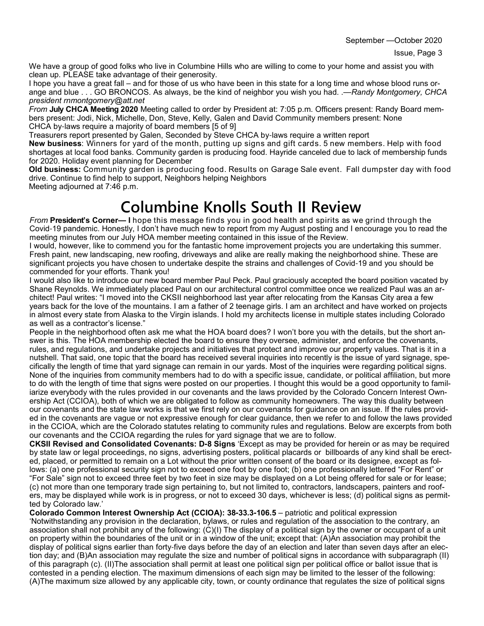We have a group of good folks who live in Columbine Hills who are willing to come to your home and assist you with clean up. PLEASE take advantage of their generosity.

I hope you have a great fall – and for those of us who have been in this state for a long time and whose blood runs orange and blue . . . GO BRONCOS. As always, be the kind of neighbor you wish you had. .—*Randy Montgomery, CHCA president rnmontgomery@att.net*

*From* **July CHCA Meeting 2020** Meeting called to order by President at: 7:05 p.m. Officers present: Randy Board members present: Jodi, Nick, Michelle, Don, Steve, Kelly, Galen and David Community members present: None CHCA by-laws require a majority of board members [5 of 9]

Treasurers report presented by Galen, Seconded by Steve CHCA by-laws require a written report

**New business**: Winners for yard of the month, putting up signs and gift cards. 5 new members. Help with food shortages at local food banks. Community garden is producing food. Hayride canceled due to lack of membership funds for 2020. Holiday event planning for December

**Old business:** Community garden is producing food. Results on Garage Sale event. Fall dumpster day with food drive. Continue to find help to support, Neighbors helping Neighbors

Meeting adjourned at 7:46 p.m.

# **Columbine Knolls South II Review**

*From* **President's Corner— I** hope this message finds you in good health and spirits as we grind through the Covid-19 pandemic. Honestly, I don't have much new to report from my August posting and I encourage you to read the meeting minutes from our July HOA member meeting contained in this issue of the Review.

I would, however, like to commend you for the fantastic home improvement projects you are undertaking this summer. Fresh paint, new landscaping, new roofing, driveways and alike are really making the neighborhood shine. These are significant projects you have chosen to undertake despite the strains and challenges of Covid-19 and you should be commended for your efforts. Thank you!

I would also like to introduce our new board member Paul Peck. Paul graciously accepted the board position vacated by Shane Reynolds. We immediately placed Paul on our architectural control committee once we realized Paul was an architect! Paul writes: "I moved into the CKSII neighborhood last year after relocating from the Kansas City area a few years back for the love of the mountains. I am a father of 2 teenage girls. I am an architect and have worked on projects in almost every state from Alaska to the Virgin islands. I hold my architects license in multiple states including Colorado as well as a contractor's license."

People in the neighborhood often ask me what the HOA board does? I won't bore you with the details, but the short answer is this. The HOA membership elected the board to ensure they oversee, administer, and enforce the covenants, rules, and regulations, and undertake projects and initiatives that protect and improve our property values. That is it in a nutshell. That said, one topic that the board has received several inquiries into recently is the issue of yard signage, specifically the length of time that yard signage can remain in our yards. Most of the inquiries were regarding political signs. None of the inquiries from community members had to do with a specific issue, candidate, or political affiliation, but more to do with the length of time that signs were posted on our properties. I thought this would be a good opportunity to familiarize everybody with the rules provided in our covenants and the laws provided by the Colorado Concern Interest Ownership Act (CCIOA), both of which we are obligated to follow as community homeowners. The way this duality between our covenants and the state law works is that we first rely on our covenants for guidance on an issue. If the rules provided in the covenants are vague or not expressive enough for clear guidance, then we refer to and follow the laws provided in the CCIOA, which are the Colorado statutes relating to community rules and regulations. Below are excerpts from both our covenants and the CCIOA regarding the rules for yard signage that we are to follow.

**CKSII Revised and Consolidated Covenants: D-8 Signs** 'Except as may be provided for herein or as may be required by state law or legal proceedings, no signs, advertising posters, political placards or billboards of any kind shall be erected, placed, or permitted to remain on a Lot without the prior written consent of the board or its designee, except as follows: (a) one professional security sign not to exceed one foot by one foot; (b) one professionally lettered "For Rent" or "For Sale" sign not to exceed three feet by two feet in size may be displayed on a Lot being offered for sale or for lease; (c) not more than one temporary trade sign pertaining to, but not limited to, contractors, landscapers, painters and roofers, may be displayed while work is in progress, or not to exceed 30 days, whichever is less; (d) political signs as permitted by Colorado law.'

**Colorado Common Interest Ownership Act (CCIOA): 38-33.3-106.5** – patriotic and political expression

'Notwithstanding any provision in the declaration, bylaws, or rules and regulation of the association to the contrary, an association shall not prohibit any of the following: (C)(I) The display of a political sign by the owner or occupant of a unit on property within the boundaries of the unit or in a window of the unit; except that: (A)An association may prohibit the display of political signs earlier than forty-five days before the day of an election and later than seven days after an election day; and (B)An association may regulate the size and number of political signs in accordance with subparagraph (II) of this paragraph (c). (II)The association shall permit at least one political sign per political office or ballot issue that is contested in a pending election. The maximum dimensions of each sign may be limited to the lesser of the following: (A)The maximum size allowed by any applicable city, town, or county ordinance that regulates the size of political signs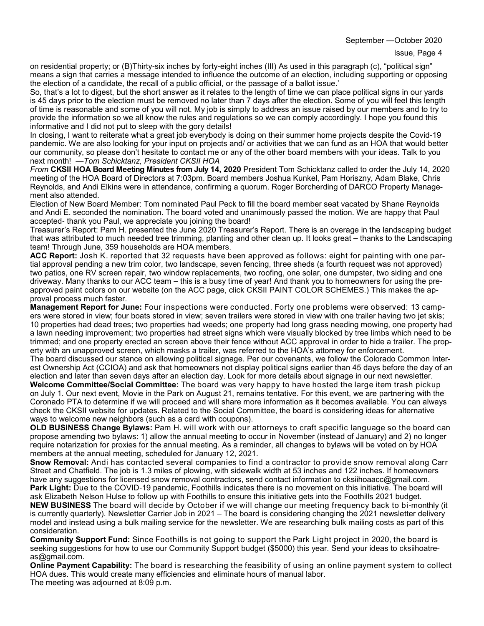September —October 2020

on residential property; or (B)Thirty-six inches by forty-eight inches (III) As used in this paragraph (c), "political sign" means a sign that carries a message intended to influence the outcome of an election, including supporting or opposing the election of a candidate, the recall of a public official, or the passage of a ballot issue.'

So, that's a lot to digest, but the short answer as it relates to the length of time we can place political signs in our yards is 45 days prior to the election must be removed no later than 7 days after the election. Some of you will feel this length of time is reasonable and some of you will not. My job is simply to address an issue raised by our members and to try to provide the information so we all know the rules and regulations so we can comply accordingly. I hope you found this informative and I did not put to sleep with the gory details!

In closing, I want to reiterate what a great job everybody is doing on their summer home projects despite the Covid-19 pandemic. We are also looking for your input on projects and/ or activities that we can fund as an HOA that would better our community, so please don't hesitate to contact me or any of the other board members with your ideas. Talk to you next month! —*Tom Schicktanz, President CKSII HOA*

*From* **CKSII HOA Board Meeting Minutes from July 14, 2020** President Tom Schicktanz called to order the July 14, 2020 meeting of the HOA Board of Directors at 7:03pm. Board members Joshua Kunkel, Pam Horiszny, Adam Blake, Chris Reynolds, and Andi Elkins were in attendance, confirming a quorum. Roger Borcherding of DARCO Property Management also attended.

Election of New Board Member: Tom nominated Paul Peck to fill the board member seat vacated by Shane Reynolds and Andi E. seconded the nomination. The board voted and unanimously passed the motion. We are happy that Paul accepted- thank you Paul, we appreciate you joining the board!

Treasurer's Report: Pam H. presented the June 2020 Treasurer's Report. There is an overage in the landscaping budget that was attributed to much needed tree trimming, planting and other clean up. It looks great – thanks to the Landscaping team! Through June, 359 households are HOA members.

**ACC Report:** Josh K. reported that 32 requests have been approved as follows: eight for painting with one partial approval pending a new trim color, two landscape, seven fencing, three sheds (a fourth request was not approved) two patios, one RV screen repair, two window replacements, two roofing, one solar, one dumpster, two siding and one driveway. Many thanks to our ACC team – this is a busy time of year! And thank you to homeowners for using the preapproved paint colors on our website (on the ACC page, click CKSII PAINT COLOR SCHEMES.) This makes the approval process much faster.

**Management Report for June:** Four inspections were conducted. Forty one problems were observed: 13 campers were stored in view; four boats stored in view; seven trailers were stored in view with one trailer having two jet skis; 10 properties had dead trees; two properties had weeds; one property had long grass needing mowing, one property had a lawn needing improvement; two properties had street signs which were visually blocked by tree limbs which need to be trimmed; and one property erected an screen above their fence without ACC approval in order to hide a trailer. The property with an unapproved screen, which masks a trailer, was referred to the HOA's attorney for enforcement. The board discussed our stance on allowing political signage. Per our covenants, we follow the Colorado Common Inter-

est Ownership Act (CCIOA) and ask that homeowners not display political signs earlier than 45 days before the day of an election and later than seven days after an election day. Look for more details about signage in our next newsletter. **Welcome Committee/Social Committee:** The board was very happy to have hosted the large item trash pickup on July 1. Our next event, Movie in the Park on August 21, remains tentative. For this event, we are partnering with the

Coronado PTA to determine if we will proceed and will share more information as it becomes available. You can always check the CKSII website for updates. Related to the Social Committee, the board is considering ideas for alternative ways to welcome new neighbors (such as a card with coupons).

**OLD BUSINESS Change Bylaws:** Pam H. will work with our attorneys to craft specific language so the board can propose amending two bylaws: 1) allow the annual meeting to occur in November (instead of January) and 2) no longer require notarization for proxies for the annual meeting. As a reminder, all changes to bylaws will be voted on by HOA members at the annual meeting, scheduled for January 12, 2021.

**Snow Removal:** Andi has contacted several companies to find a contractor to provide snow removal along Carr Street and Chatfield. The job is 1.3 miles of plowing, with sidewalk width at 53 inches and 122 inches. If homeowners have any suggestions for licensed snow removal contractors, send contact information to cksiihoaacc@gmail.com. **Park Light:** Due to the COVID-19 pandemic, Foothills indicates there is no movement on this initiative. The board will ask Elizabeth Nelson Hulse to follow up with Foothills to ensure this initiative gets into the Foothills 2021 budget.

**NEW BUSINESS** The board will decide by October if we will change our meeting frequency back to bi-monthly (it is currently quarterly). Newsletter Carrier Job in 2021 – The board is considering changing the 2021 newsletter delivery model and instead using a bulk mailing service for the newsletter. We are researching bulk mailing costs as part of this consideration.

**Community Support Fund:** Since Foothills is not going to support the Park Light project in 2020, the board is seeking suggestions for how to use our Community Support budget (\$5000) this year. Send your ideas to cksiihoatreas@gmail.com.

**Online Payment Capability:** The board is researching the feasibility of using an online payment system to collect HOA dues. This would create many efficiencies and eliminate hours of manual labor. The meeting was adjourned at 8:09 p.m.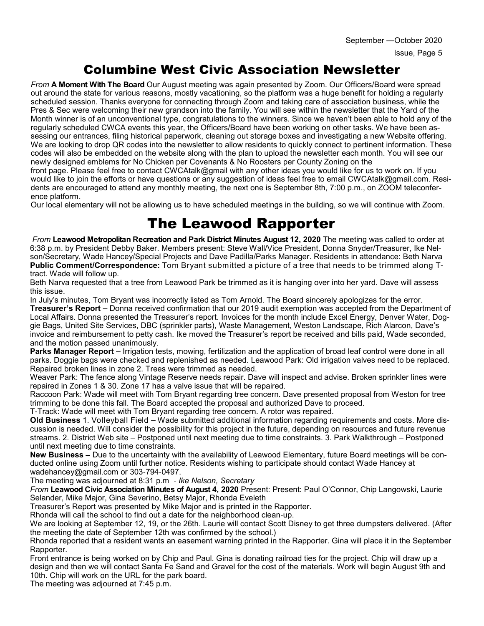#### Columbine West Civic Association Newsletter

*From* **A Moment With The Board** Our August meeting was again presented by Zoom. Our Officers/Board were spread out around the state for various reasons, mostly vacationing, so the platform was a huge benefit for holding a regularly scheduled session. Thanks everyone for connecting through Zoom and taking care of association business, while the Pres & Sec were welcoming their new grandson into the family. You will see within the newsletter that the Yard of the Month winner is of an unconventional type, congratulations to the winners. Since we haven't been able to hold any of the regularly scheduled CWCA events this year, the Officers/Board have been working on other tasks. We have been assessing our entrances, filing historical paperwork, cleaning out storage boxes and investigating a new Website offering. We are looking to drop QR codes into the newsletter to allow residents to quickly connect to pertinent information. These codes will also be embedded on the website along with the plan to upload the newsletter each month. You will see our newly designed emblems for No Chicken per Covenants & No Roosters per County Zoning on the

front page. Please feel free to contact CWCAtalk@gmail with any other ideas you would like for us to work on. If you would like to join the efforts or have questions or any suggestion of ideas feel free to email CWCAtalk@gmail.com. Residents are encouraged to attend any monthly meeting, the next one is September 8th, 7:00 p.m., on ZOOM teleconference platform.

Our local elementary will not be allowing us to have scheduled meetings in the building, so we will continue with Zoom.

### The Leawood Rapporter

*From* **Leawood Metropolitan Recreation and Park District Minutes August 12, 2020** The meeting was called to order at 6:38 p.m. by President Debby Baker. Members present: Steve Wall/Vice President, Donna Snyder/Treasurer, Ike Nelson/Secretary, Wade Hancey/Special Projects and Dave Padilla/Parks Manager. Residents in attendance: Beth Narva **Public Comment/Correspondence:** Tom Bryant submitted a picture of a tree that needs to be trimmed along Ttract. Wade will follow up.

Beth Narva requested that a tree from Leawood Park be trimmed as it is hanging over into her yard. Dave will assess this issue.

In July's minutes, Tom Bryant was incorrectly listed as Tom Arnold. The Board sincerely apologizes for the error. **Treasurer's Report** – Donna received confirmation that our 2019 audit exemption was accepted from the Department of Local Affairs. Donna presented the Treasurer's report. Invoices for the month include Excel Energy, Denver Water, Doggie Bags, United Site Services, DBC (sprinkler parts), Waste Management, Weston Landscape, Rich Alarcon, Dave's invoice and reimbursement to petty cash. Ike moved the Treasurer's report be received and bills paid, Wade seconded, and the motion passed unanimously.

**Parks Manager Report** – Irrigation tests, mowing, fertilization and the application of broad leaf control were done in all parks. Doggie bags were checked and replenished as needed. Leawood Park: Old irrigation valves need to be replaced. Repaired broken lines in zone 2. Trees were trimmed as needed.

Weaver Park: The fence along Vintage Reserve needs repair. Dave will inspect and advise. Broken sprinkler lines were repaired in Zones 1 & 30. Zone 17 has a valve issue that will be repaired.

Raccoon Park: Wade will meet with Tom Bryant regarding tree concern. Dave presented proposal from Weston for tree trimming to be done this fall. The Board accepted the proposal and authorized Dave to proceed.

T-Track: Wade will meet with Tom Bryant regarding tree concern. A rotor was repaired.

**Old Business** 1. Volleyball Field – Wade submitted additional information regarding requirements and costs. More discussion is needed. Will consider the possibility for this project in the future, depending on resources and future revenue streams. 2. District Web site – Postponed until next meeting due to time constraints. 3. Park Walkthrough – Postponed until next meeting due to time constraints.

**New Business –** Due to the uncertainty with the availability of Leawood Elementary, future Board meetings will be conducted online using Zoom until further notice. Residents wishing to participate should contact Wade Hancey at wadehancey@gmail.com or 303-794-0497.

The meeting was adjourned at 8:31 p.m - *Ike Nelson, Secretary*

*From* **Leawood Civic Association Minutes of August 4, 2020** Present: Present: Paul O'Connor, Chip Langowski, Laurie Selander, Mike Major, Gina Severino, Betsy Major, Rhonda Eveleth

Treasurer's Report was presented by Mike Major and is printed in the Rapporter.

Rhonda will call the school to find out a date for the neighborhood clean-up.

We are looking at September 12, 19, or the 26th. Laurie will contact Scott Disney to get three dumpsters delivered. (After the meeting the date of September 12th was confirmed by the school.)

Rhonda reported that a resident wants an easement warning printed in the Rapporter. Gina will place it in the September Rapporter.

Front entrance is being worked on by Chip and Paul. Gina is donating railroad ties for the project. Chip will draw up a design and then we will contact Santa Fe Sand and Gravel for the cost of the materials. Work will begin August 9th and 10th. Chip will work on the URL for the park board.

The meeting was adjourned at 7:45 p.m.